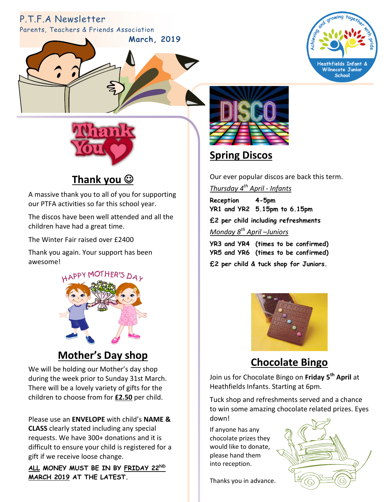# P.T.F.A Newsletter

Parents, Teachers & Friends Association







**Thank you**

A massive thank you to all of you for supporting our PTFA activities so far this school year.

The discos have been well attended and all the children have had a great time.

The Winter Fair raised over £2400

Thank you again. Your support has been awesome!



## **Mother's Day shop**

We will be holding our Mother's day shop during the week prior to Sunday 31st March. There will be a lovely variety of gifts for the children to choose from for **£2.50** per child.

Please use an **ENVELOPE** with child's **NAME & CLASS** clearly stated including any special requests. We have 300+ donations and it is difficult to ensure your child is registered for a gift if we receive loose change.

**ALL MONEY MUST BE IN BY FRIDAY 22ND MARCH 2019 AT THE LATEST.**



## **Spring Discos**

Our ever popular discos are back this term.

*Thursday 4 th April - Infants*

**Reception 4-5pm YR1 and YR2 5.15pm to 6.15pm £2 per child including refreshments**  *Monday 8 th April –Juniors*

**YR3 and YR4 (times to be confirmed) YR5 and YR6 (times to be confirmed) £2 per child & tuck shop for Juniors.**



#### **Chocolate Bingo**

Join us for Chocolate Bingo on **Friday 5th April** at Heathfields Infants. Starting at 6pm.

Tuck shop and refreshments served and a chance to win some amazing chocolate related prizes. Eyes down!

If anyone has any chocolate prizes they would like to donate, please hand them into reception.

Thanks you in advance.